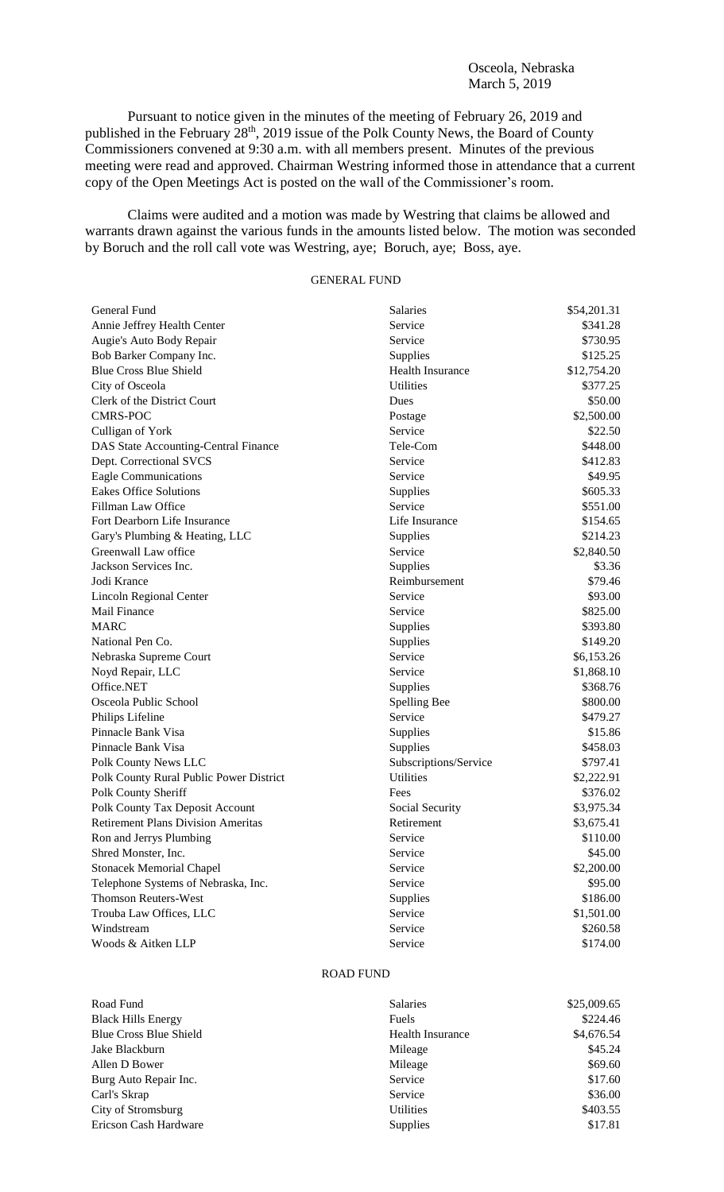Osceola, Nebraska March 5, 2019

Pursuant to notice given in the minutes of the meeting of February 26, 2019 and published in the February  $28<sup>th</sup>$ , 2019 issue of the Polk County News, the Board of County Commissioners convened at 9:30 a.m. with all members present. Minutes of the previous meeting were read and approved. Chairman Westring informed those in attendance that a current copy of the Open Meetings Act is posted on the wall of the Commissioner's room.

Claims were audited and a motion was made by Westring that claims be allowed and warrants drawn against the various funds in the amounts listed below. The motion was seconded by Boruch and the roll call vote was Westring, aye; Boruch, aye; Boss, aye.

## GENERAL FUND

| General Fund                              | Salaries                | \$54,201.31 |
|-------------------------------------------|-------------------------|-------------|
| Annie Jeffrey Health Center               | Service                 | \$341.28    |
| Augie's Auto Body Repair                  | Service                 | \$730.95    |
| Bob Barker Company Inc.                   | Supplies                | \$125.25    |
| <b>Blue Cross Blue Shield</b>             | <b>Health Insurance</b> | \$12,754.20 |
| City of Osceola                           | <b>Utilities</b>        | \$377.25    |
| Clerk of the District Court               | Dues                    | \$50.00     |
| <b>CMRS-POC</b>                           | Postage                 | \$2,500.00  |
| Culligan of York                          | Service                 | \$22.50     |
| DAS State Accounting-Central Finance      | Tele-Com                | \$448.00    |
| Dept. Correctional SVCS                   | Service                 | \$412.83    |
| <b>Eagle Communications</b>               | Service                 | \$49.95     |
| <b>Eakes Office Solutions</b>             | Supplies                | \$605.33    |
| Fillman Law Office                        | Service                 | \$551.00    |
| Fort Dearborn Life Insurance              | Life Insurance          | \$154.65    |
| Gary's Plumbing & Heating, LLC            | Supplies                | \$214.23    |
| Greenwall Law office                      | Service                 | \$2,840.50  |
| Jackson Services Inc.                     | Supplies                | \$3.36      |
| Jodi Krance                               | Reimbursement           | \$79.46     |
| Lincoln Regional Center                   | Service                 | \$93.00     |
| <b>Mail Finance</b>                       | Service                 | \$825.00    |
| <b>MARC</b>                               | Supplies                | \$393.80    |
| National Pen Co.                          | Supplies                | \$149.20    |
| Nebraska Supreme Court                    | Service                 | \$6,153.26  |
| Noyd Repair, LLC                          | Service                 | \$1,868.10  |
| Office.NET                                | Supplies                | \$368.76    |
| Osceola Public School                     | Spelling Bee            | \$800.00    |
| Philips Lifeline                          | Service                 | \$479.27    |
| Pinnacle Bank Visa                        | Supplies                | \$15.86     |
| Pinnacle Bank Visa                        | Supplies                | \$458.03    |
| Polk County News LLC                      | Subscriptions/Service   | \$797.41    |
| Polk County Rural Public Power District   | <b>Utilities</b>        | \$2,222.91  |
| Polk County Sheriff                       | Fees                    | \$376.02    |
| Polk County Tax Deposit Account           | Social Security         | \$3,975.34  |
| <b>Retirement Plans Division Ameritas</b> | Retirement              | \$3,675.41  |
| Ron and Jerrys Plumbing                   | Service                 | \$110.00    |
| Shred Monster, Inc.                       | Service                 | \$45.00     |
| <b>Stonacek Memorial Chapel</b>           | Service                 | \$2,200.00  |
| Telephone Systems of Nebraska, Inc.       | Service                 | \$95.00     |
| <b>Thomson Reuters-West</b>               | Supplies                | \$186.00    |
| Trouba Law Offices, LLC                   | Service                 | \$1,501.00  |
| Windstream                                | Service                 | \$260.58    |
| Woods & Aitken LLP                        | Service                 | \$174.00    |

## ROAD FUND

| Road Fund                     | <b>Salaries</b>  | \$25,009.65 |
|-------------------------------|------------------|-------------|
| <b>Black Hills Energy</b>     | Fuels            | \$224.46    |
| <b>Blue Cross Blue Shield</b> | Health Insurance | \$4,676.54  |
| Jake Blackburn                | Mileage          | \$45.24     |
| Allen D Bower                 | Mileage          | \$69.60     |
| Burg Auto Repair Inc.         | Service          | \$17.60     |
| Carl's Skrap                  | Service          | \$36.00     |
| City of Stromsburg            | <b>Utilities</b> | \$403.55    |
| Ericson Cash Hardware         | <b>Supplies</b>  | \$17.81     |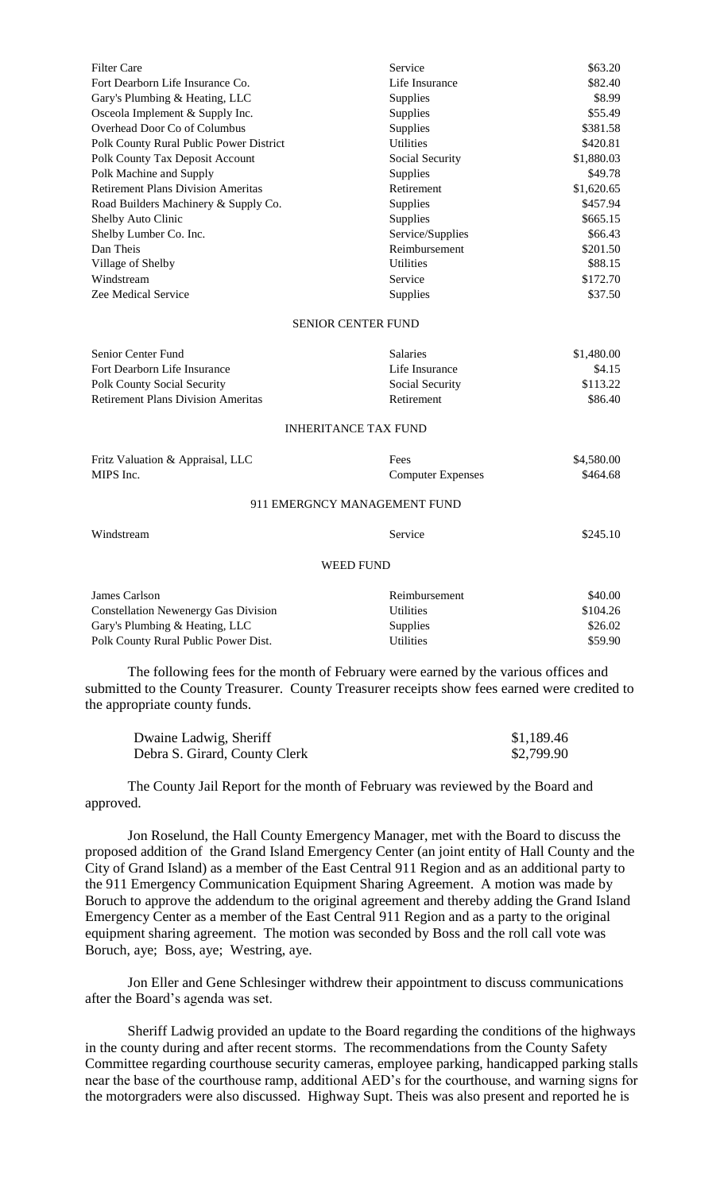| <b>Filter Care</b>                        | Service                   | \$63.20    |
|-------------------------------------------|---------------------------|------------|
| Fort Dearborn Life Insurance Co.          | Life Insurance            | \$82.40    |
| Gary's Plumbing & Heating, LLC            | <b>Supplies</b>           | \$8.99     |
| Osceola Implement & Supply Inc.           | <b>Supplies</b>           | \$55.49    |
| Overhead Door Co of Columbus              | <b>Supplies</b>           | \$381.58   |
| Polk County Rural Public Power District   | <b>Utilities</b>          | \$420.81   |
| Polk County Tax Deposit Account           | Social Security           | \$1,880.03 |
| Polk Machine and Supply                   | <b>Supplies</b>           | \$49.78    |
| <b>Retirement Plans Division Ameritas</b> | Retirement                | \$1,620.65 |
| Road Builders Machinery & Supply Co.      | <b>Supplies</b>           | \$457.94   |
| Shelby Auto Clinic                        | <b>Supplies</b>           | \$665.15   |
| Shelby Lumber Co. Inc.                    | Service/Supplies          | \$66.43    |
| Dan Theis                                 | Reimbursement             | \$201.50   |
| Village of Shelby                         | <b>Utilities</b>          | \$88.15    |
| Windstream                                | Service                   | \$172.70   |
| Zee Medical Service                       | Supplies                  | \$37.50    |
|                                           | <b>SENIOR CENTER FUND</b> |            |
| Senior Center Fund                        | <b>Salaries</b>           | \$1,480.00 |

| Fort Dearborn Life Insurance              | Life Insurance               | \$4.15     |  |
|-------------------------------------------|------------------------------|------------|--|
| Polk County Social Security               | Social Security              | \$113.22   |  |
| <b>Retirement Plans Division Ameritas</b> | Retirement                   | \$86.40    |  |
| INHERITANCE TAX FUND                      |                              |            |  |
| Fritz Valuation & Appraisal, LLC          | Fees                         | \$4,580.00 |  |
| MIPS Inc.<br><b>Computer Expenses</b>     |                              | \$464.68   |  |
|                                           | 911 EMERGNCY MANAGEMENT FUND |            |  |

| Windstream                                  | Service          |          |  |
|---------------------------------------------|------------------|----------|--|
| <b>WEED FUND</b>                            |                  |          |  |
| James Carlson                               | Reimbursement    | \$40.00  |  |
| <b>Constellation Newenergy Gas Division</b> | <b>Utilities</b> | \$104.26 |  |
| Gary's Plumbing & Heating, LLC              | Supplies         | \$26.02  |  |

Polk County Rural Public Power Dist. Utilities  $$59.90$ 

The following fees for the month of February were earned by the various offices and submitted to the County Treasurer. County Treasurer receipts show fees earned were credited to the appropriate county funds.

| Dwaine Ladwig, Sheriff        | \$1,189.46 |
|-------------------------------|------------|
| Debra S. Girard, County Clerk | \$2,799.90 |

The County Jail Report for the month of February was reviewed by the Board and approved.

Jon Roselund, the Hall County Emergency Manager, met with the Board to discuss the proposed addition of the Grand Island Emergency Center (an joint entity of Hall County and the City of Grand Island) as a member of the East Central 911 Region and as an additional party to the 911 Emergency Communication Equipment Sharing Agreement. A motion was made by Boruch to approve the addendum to the original agreement and thereby adding the Grand Island Emergency Center as a member of the East Central 911 Region and as a party to the original equipment sharing agreement. The motion was seconded by Boss and the roll call vote was Boruch, aye; Boss, aye; Westring, aye.

Jon Eller and Gene Schlesinger withdrew their appointment to discuss communications after the Board's agenda was set.

Sheriff Ladwig provided an update to the Board regarding the conditions of the highways in the county during and after recent storms. The recommendations from the County Safety Committee regarding courthouse security cameras, employee parking, handicapped parking stalls near the base of the courthouse ramp, additional AED's for the courthouse, and warning signs for the motorgraders were also discussed. Highway Supt. Theis was also present and reported he is